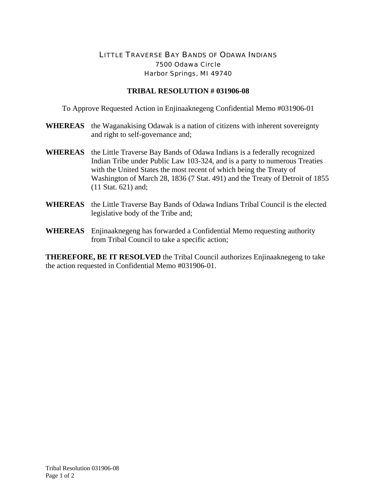## LITTLE TRAVERSE BAY BANDS OF ODAWA INDIANS 7500 Odawa Circle Harbor Springs, MI 49740

## **TRIBAL RESOLUTION # 031906-08**

To Approve Requested Action in Enjinaaknegeng Confidential Memo #031906-01

- **WHEREAS** the Waganakising Odawak is a nation of citizens with inherent sovereignty and right to self-governance and;
- **WHEREAS** the Little Traverse Bay Bands of Odawa Indians is a federally recognized Indian Tribe under Public Law 103-324, and is a party to numerous Treaties with the United States the most recent of which being the Treaty of Washington of March 28, 1836 (7 Stat. 491) and the Treaty of Detroit of 1855 (11 Stat. 621) and;
- **WHEREAS** the Little Traverse Bay Bands of Odawa Indians Tribal Council is the elected legislative body of the Tribe and;
- **WHEREAS** Enjinaaknegeng has forwarded a Confidential Memo requesting authority from Tribal Council to take a specific action;

**THEREFORE, BE IT RESOLVED** the Tribal Council authorizes Enjinaaknegeng to take the action requested in Confidential Memo #031906-01.